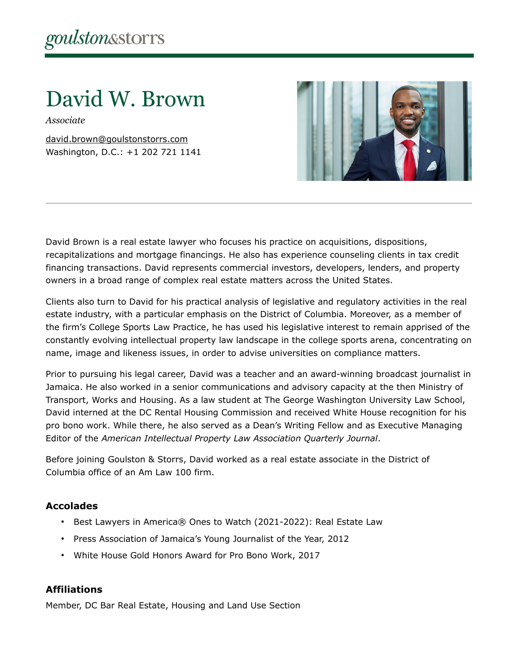# David W. Brown

*Associate*

[david.brown@goulstonstorrs.com](mailto:david.brown@goulstonstorrs.com) Washington, D.C.: +1 202 721 1141



David Brown is a real estate lawyer who focuses his practice on acquisitions, dispositions, recapitalizations and mortgage financings. He also has experience counseling clients in tax credit financing transactions. David represents commercial investors, developers, lenders, and property owners in a broad range of complex real estate matters across the United States.

Clients also turn to David for his practical analysis of legislative and regulatory activities in the real estate industry, with a particular emphasis on the District of Columbia. Moreover, as a member of the firm's College Sports Law Practice, he has used his legislative interest to remain apprised of the constantly evolving intellectual property law landscape in the college sports arena, concentrating on name, image and likeness issues, in order to advise universities on compliance matters.

Prior to pursuing his legal career, David was a teacher and an award-winning broadcast journalist in Jamaica. He also worked in a senior communications and advisory capacity at the then Ministry of Transport, Works and Housing. As a law student at The George Washington University Law School, David interned at the DC Rental Housing Commission and received White House recognition for his pro bono work. While there, he also served as a Dean's Writing Fellow and as Executive Managing Editor of the *American Intellectual Property Law Association Quarterly Journal*.

Before joining Goulston & Storrs, David worked as a real estate associate in the District of Columbia office of an Am Law 100 firm.

### **Accolades**

- Best Lawyers in America® Ones to Watch (2021-2022): Real Estate Law
- Press Association of Jamaica's Young Journalist of the Year, 2012
- White House Gold Honors Award for Pro Bono Work, 2017

### **Affiliations**

Member, DC Bar Real Estate, Housing and Land Use Section